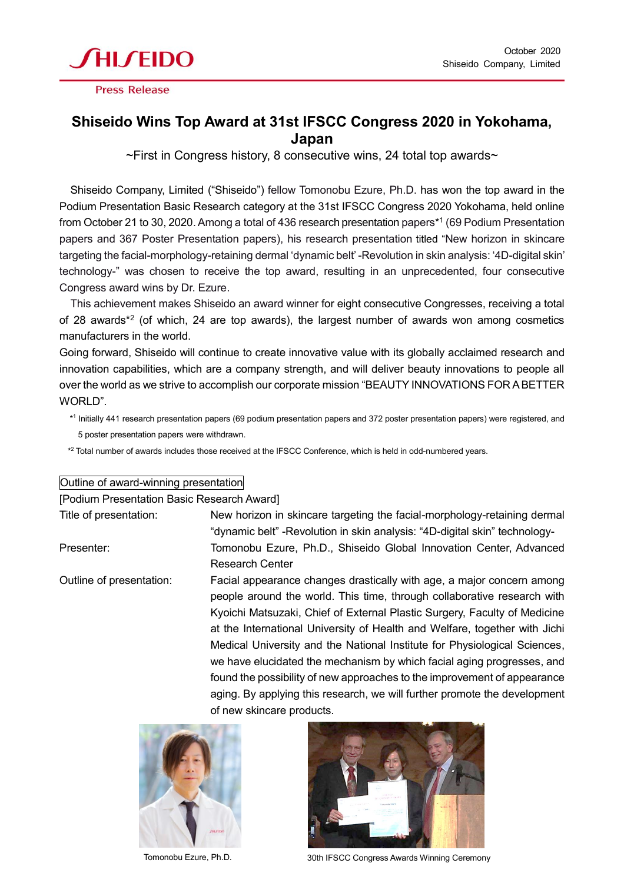

**Press Release** 

## **Shiseido Wins Top Award at 31st IFSCC Congress 2020 in Yokohama, Japan**

 $\sim$ First in Congress history, 8 consecutive wins, 24 total top awards $\sim$ 

Shiseido Company, Limited ("Shiseido") fellow Tomonobu Ezure, Ph.D. has won the top award in the Podium Presentation Basic Research category at the 31st IFSCC Congress 2020 Yokohama, held online from October 21 to 30, 2020. Among a total of 436 research presentation papers\* 1 (69 Podium Presentation papers and 367 Poster Presentation papers), his research presentation titled "New horizon in skincare targeting the facial-morphology-retaining dermal 'dynamic belt'-Revolution in skin analysis: '4D-digital skin' technology-" was chosen to receive the top award, resulting in an unprecedented, four consecutive Congress award wins by Dr. Ezure.

This achievement makes Shiseido an award winner for eight consecutive Congresses, receiving a total of 28 awards\*<sup>2</sup> (of which, 24 are top awards), the largest number of awards won among cosmetics manufacturers in the world.

Going forward, Shiseido will continue to create innovative value with its globally acclaimed research and innovation capabilities, which are a company strength, and will deliver beauty innovations to people all over the world as we strive to accomplish our corporate mission "BEAUTY INNOVATIONS FOR A BETTER WORLD"

\* 1 Initially 441 research presentation papers (69 podium presentation papers and 372 poster presentation papers) were registered, and 5 poster presentation papers were withdrawn.

 $*^2$  Total number of awards includes those received at the IFSCC Conference, which is held in odd-numbered years.

## Outline of award-winning presentation

[Podium Presentation Basic Research Award]

Title of presentation: New horizon in skincare targeting the facial-morphology-retaining dermal "dynamic belt" -Revolution in skin analysis: "4D-digital skin" technology-Presenter: Tomonobu Ezure, Ph.D., Shiseido Global Innovation Center, Advanced Research Center

Outline of presentation: Facial appearance changes drastically with age, a major concern among people around the world. This time, through collaborative research with Kyoichi Matsuzaki, Chief of External Plastic Surgery, Faculty of Medicine at the International University of Health and Welfare, together with Jichi Medical University and the National Institute for Physiological Sciences, we have elucidated the mechanism by which facial aging progresses, and found the possibility of new approaches to the improvement of appearance aging. By applying this research, we will further promote the development of new skincare products.





Tomonobu Ezure, Ph.D. 30th IFSCC Congress Awards Winning Ceremony